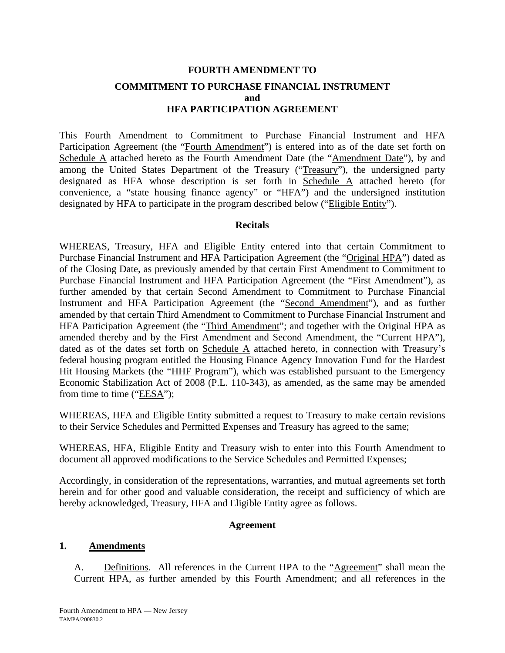# **FOURTH AMENDMENT TO COMMITMENT TO PURCHASE FINANCIAL INSTRUMENT and HFA PARTICIPATION AGREEMENT**

This Fourth Amendment to Commitment to Purchase Financial Instrument and HFA Participation Agreement (the "Fourth Amendment") is entered into as of the date set forth on Schedule A attached hereto as the Fourth Amendment Date (the "Amendment Date"), by and among the United States Department of the Treasury ("Treasury"), the undersigned party designated as HFA whose description is set forth in Schedule A attached hereto (for convenience, a "state housing finance agency" or "HFA") and the undersigned institution designated by HFA to participate in the program described below ("Eligible Entity").

### **Recitals**

WHEREAS, Treasury, HFA and Eligible Entity entered into that certain Commitment to Purchase Financial Instrument and HFA Participation Agreement (the "Original HPA") dated as of the Closing Date, as previously amended by that certain First Amendment to Commitment to Purchase Financial Instrument and HFA Participation Agreement (the "First Amendment"), as further amended by that certain Second Amendment to Commitment to Purchase Financial Instrument and HFA Participation Agreement (the "Second Amendment"), and as further amended by that certain Third Amendment to Commitment to Purchase Financial Instrument and HFA Participation Agreement (the "Third Amendment"; and together with the Original HPA as amended thereby and by the First Amendment and Second Amendment, the "Current HPA"), dated as of the dates set forth on Schedule A attached hereto, in connection with Treasury's federal housing program entitled the Housing Finance Agency Innovation Fund for the Hardest Hit Housing Markets (the "HHF Program"), which was established pursuant to the Emergency Economic Stabilization Act of 2008 (P.L. 110-343), as amended, as the same may be amended from time to time ("EESA");

WHEREAS, HFA and Eligible Entity submitted a request to Treasury to make certain revisions to their Service Schedules and Permitted Expenses and Treasury has agreed to the same;

WHEREAS, HFA, Eligible Entity and Treasury wish to enter into this Fourth Amendment to document all approved modifications to the Service Schedules and Permitted Expenses;

Accordingly, in consideration of the representations, warranties, and mutual agreements set forth herein and for other good and valuable consideration, the receipt and sufficiency of which are hereby acknowledged, Treasury, HFA and Eligible Entity agree as follows.

### **Agreement**

### **1. Amendments**

A. Definitions. All references in the Current HPA to the "Agreement" shall mean the Current HPA, as further amended by this Fourth Amendment; and all references in the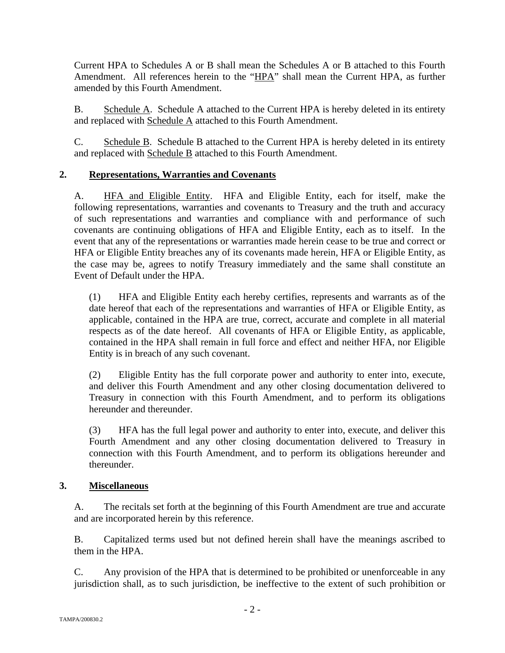Current HPA to Schedules A or B shall mean the Schedules A or B attached to this Fourth Amendment. All references herein to the "HPA" shall mean the Current HPA, as further amended by this Fourth Amendment.

B. Schedule A. Schedule A attached to the Current HPA is hereby deleted in its entirety and replaced with Schedule A attached to this Fourth Amendment.

C. Schedule B. Schedule B attached to the Current HPA is hereby deleted in its entirety and replaced with Schedule B attached to this Fourth Amendment.

## **2. Representations, Warranties and Covenants**

A. HFA and Eligible Entity. HFA and Eligible Entity, each for itself, make the following representations, warranties and covenants to Treasury and the truth and accuracy of such representations and warranties and compliance with and performance of such covenants are continuing obligations of HFA and Eligible Entity, each as to itself. In the event that any of the representations or warranties made herein cease to be true and correct or HFA or Eligible Entity breaches any of its covenants made herein, HFA or Eligible Entity, as the case may be, agrees to notify Treasury immediately and the same shall constitute an Event of Default under the HPA.

(1) HFA and Eligible Entity each hereby certifies, represents and warrants as of the date hereof that each of the representations and warranties of HFA or Eligible Entity, as applicable, contained in the HPA are true, correct, accurate and complete in all material respects as of the date hereof. All covenants of HFA or Eligible Entity, as applicable, contained in the HPA shall remain in full force and effect and neither HFA, nor Eligible Entity is in breach of any such covenant.

(2) Eligible Entity has the full corporate power and authority to enter into, execute, and deliver this Fourth Amendment and any other closing documentation delivered to Treasury in connection with this Fourth Amendment, and to perform its obligations hereunder and thereunder.

(3) HFA has the full legal power and authority to enter into, execute, and deliver this Fourth Amendment and any other closing documentation delivered to Treasury in connection with this Fourth Amendment, and to perform its obligations hereunder and thereunder.

### **3. Miscellaneous**

A. The recitals set forth at the beginning of this Fourth Amendment are true and accurate and are incorporated herein by this reference.

B. Capitalized terms used but not defined herein shall have the meanings ascribed to them in the HPA.

C. Any provision of the HPA that is determined to be prohibited or unenforceable in any jurisdiction shall, as to such jurisdiction, be ineffective to the extent of such prohibition or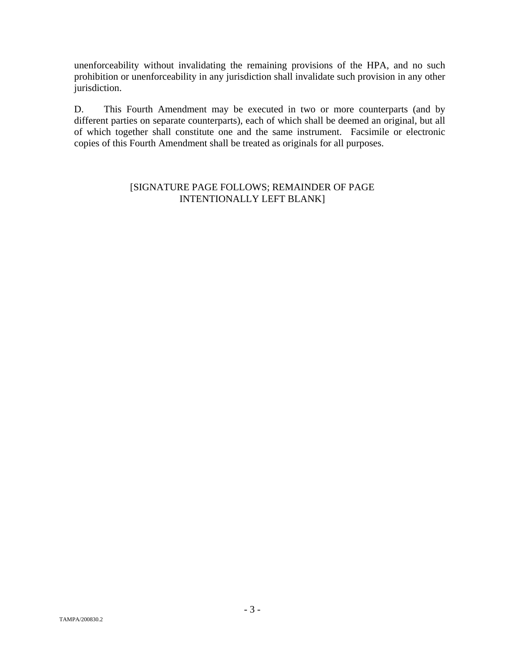unenforceability without invalidating the remaining provisions of the HPA, and no such prohibition or unenforceability in any jurisdiction shall invalidate such provision in any other jurisdiction.

D. This Fourth Amendment may be executed in two or more counterparts (and by different parties on separate counterparts), each of which shall be deemed an original, but all of which together shall constitute one and the same instrument. Facsimile or electronic copies of this Fourth Amendment shall be treated as originals for all purposes.

### [SIGNATURE PAGE FOLLOWS; REMAINDER OF PAGE INTENTIONALLY LEFT BLANK]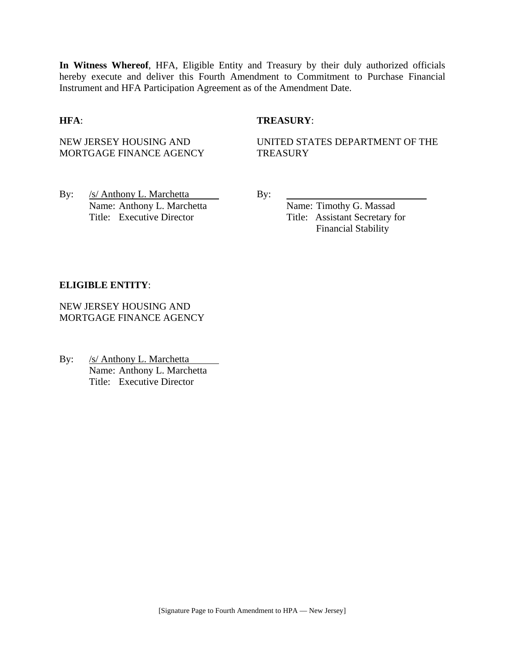**In Witness Whereof**, HFA, Eligible Entity and Treasury by their duly authorized officials hereby execute and deliver this Fourth Amendment to Commitment to Purchase Financial Instrument and HFA Participation Agreement as of the Amendment Date.

### **HFA**: **TREASURY**:

NEW JERSEY HOUSING AND MORTGAGE FINANCE AGENCY UNITED STATES DEPARTMENT OF THE **TREASURY** 

By: /s/ Anthony L. Marchetta By: Name: Anthony L. Marchetta Name: Timothy G. Massad Title: Executive Director Title: Assistant Secretary for

Financial Stability

#### **ELIGIBLE ENTITY**:

NEW JERSEY HOUSING AND MORTGAGE FINANCE AGENCY

By: /s/ Anthony L. Marchetta Name: Anthony L. Marchetta Title: Executive Director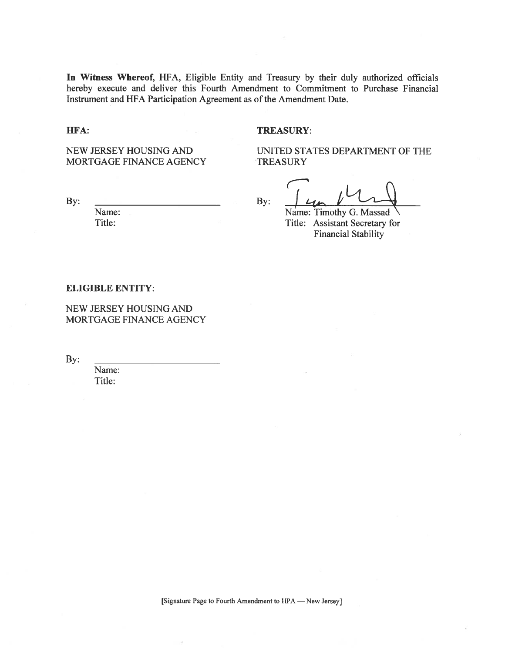In Witness Whereof, HFA, Eligible Entity and Treasury by their duly authorized officials hereby execute and deliver this Fourth Amendment to Commitment to Purchase Financial Instrument and HFA Participation Agreement as of the Amendment Date.

HFA:

#### **TREASURY:**

NEW JERSEY HOUSING AND MORTGAGE FINANCE AGENCY

By:

Name:

Title:

UNITED STATES DEPARTMENT OF THE **TREASURY** 

By:

Name: Timothy G. Massad Title: Assistant Secretary for **Financial Stability** 

#### **ELIGIBLE ENTITY:**

NEW JERSEY HOUSING AND MORTGAGE FINANCE AGENCY

By:

Name: Title:

[Signature Page to Fourth Amendment to HPA — New Jersey]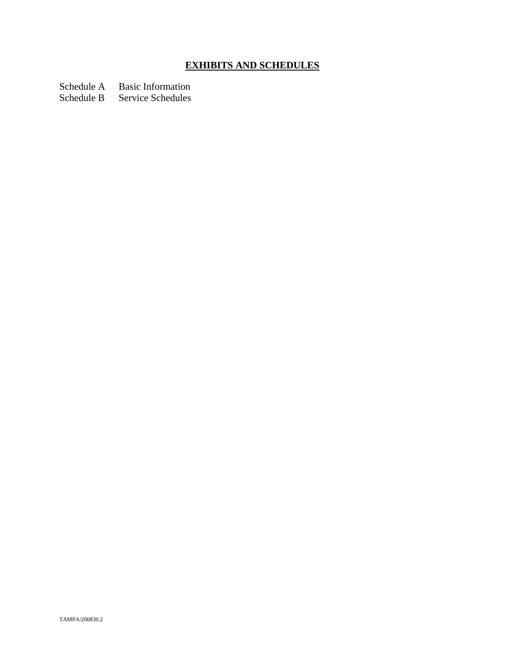# **EXHIBITS AND SCHEDULES**

Schedule A Basic Information<br>Schedule B Service Schedules

Service Schedules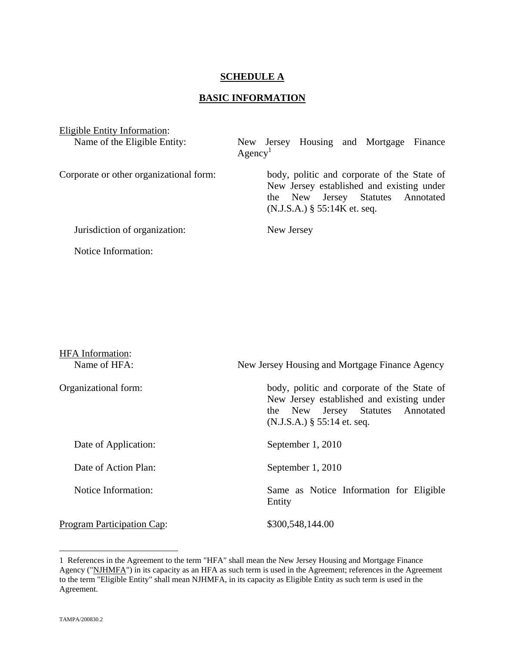### **SCHEDULE A**

### **BASIC INFORMATION**

| Eligible Entity Information:            |                                                                                                                                                                 |
|-----------------------------------------|-----------------------------------------------------------------------------------------------------------------------------------------------------------------|
| Name of the Eligible Entity:            | New Jersey Housing and Mortgage Finance<br>Agency <sup>1</sup>                                                                                                  |
| Corporate or other organizational form: | body, politic and corporate of the State of<br>New Jersey established and existing under<br>the New Jersey Statutes Annotated<br>$(N.J.S.A.)$ § 55:14K et. seq. |
| Jurisdiction of organization:           | New Jersey                                                                                                                                                      |
| Notice Information:                     |                                                                                                                                                                 |

| <b>HFA</b> Information:<br>Name of HFA: | New Jersey Housing and Mortgage Finance Agency                                                                                                                 |
|-----------------------------------------|----------------------------------------------------------------------------------------------------------------------------------------------------------------|
| Organizational form:                    | body, politic and corporate of the State of<br>New Jersey established and existing under<br>the New Jersey Statutes Annotated<br>$(N.J.S.A.)$ § 55:14 et. seq. |
| Date of Application:                    | September 1, 2010                                                                                                                                              |
| Date of Action Plan:                    | September 1, 2010                                                                                                                                              |
| Notice Information:                     | Same as Notice Information for Eligible<br>Entity                                                                                                              |
| Program Participation Cap:              | \$300,548,144.00                                                                                                                                               |

<sup>1</sup> References in the Agreement to the term "HFA" shall mean the New Jersey Housing and Mortgage Finance Agency ("NJHMFA") in its capacity as an HFA as such term is used in the Agreement; references in the Agreement to the term "Eligible Entity" shall mean NJHMFA, in its capacity as Eligible Entity as such term is used in the Agreement.

<u>.</u>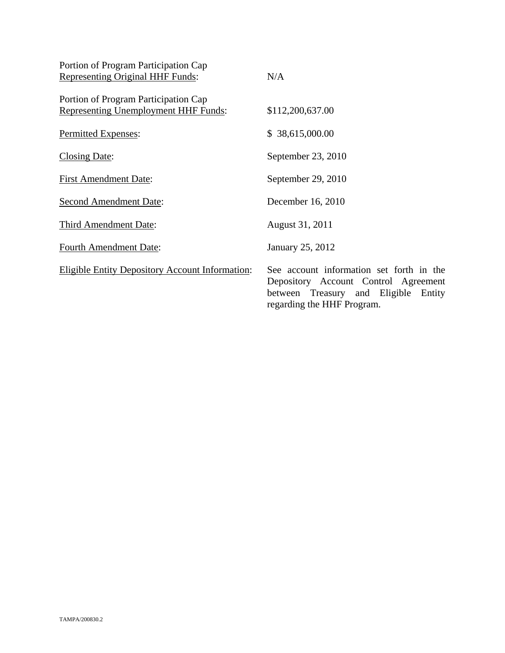| Portion of Program Participation Cap                                                |                                                                                                                                                        |
|-------------------------------------------------------------------------------------|--------------------------------------------------------------------------------------------------------------------------------------------------------|
| <b>Representing Original HHF Funds:</b>                                             | N/A                                                                                                                                                    |
| Portion of Program Participation Cap<br><b>Representing Unemployment HHF Funds:</b> | \$112,200,637.00                                                                                                                                       |
| Permitted Expenses:                                                                 | \$38,615,000.00                                                                                                                                        |
| <b>Closing Date:</b>                                                                | September 23, 2010                                                                                                                                     |
| <b>First Amendment Date:</b>                                                        | September 29, 2010                                                                                                                                     |
| <b>Second Amendment Date:</b>                                                       | December 16, 2010                                                                                                                                      |
| <b>Third Amendment Date:</b>                                                        | August 31, 2011                                                                                                                                        |
| <b>Fourth Amendment Date:</b>                                                       | January 25, 2012                                                                                                                                       |
| <b>Eligible Entity Depository Account Information:</b>                              | See account information set forth in the<br>Depository Account Control Agreement<br>between Treasury and Eligible Entity<br>regarding the HHF Program. |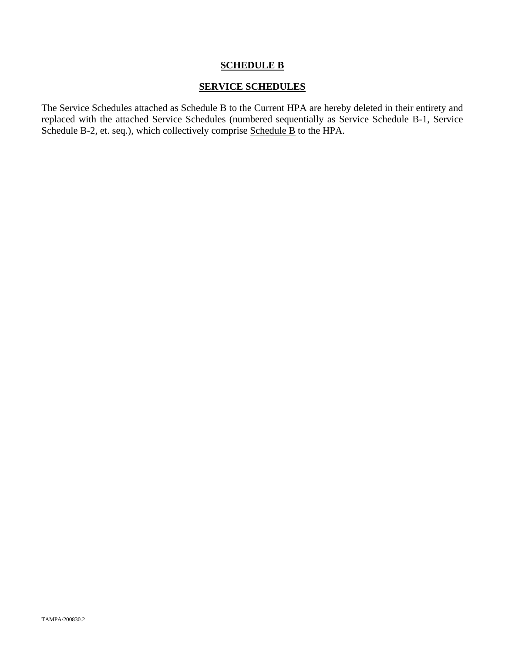### **SCHEDULE B**

### **SERVICE SCHEDULES**

The Service Schedules attached as Schedule B to the Current HPA are hereby deleted in their entirety and replaced with the attached Service Schedules (numbered sequentially as Service Schedule B-1, Service Schedule B-2, et. seq.), which collectively comprise Schedule B to the HPA.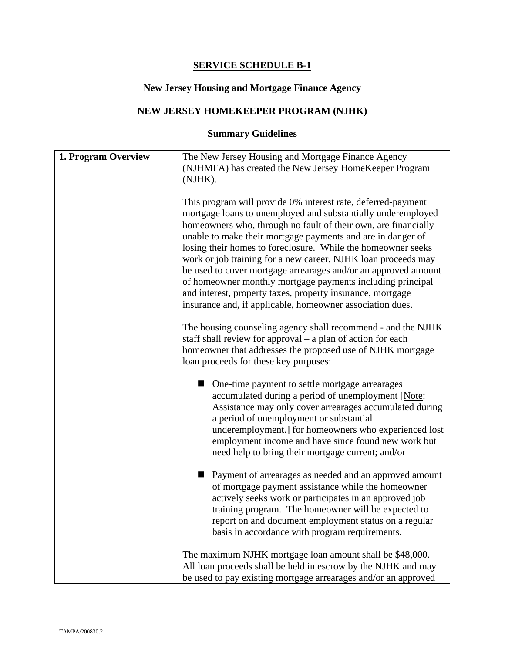### **SERVICE SCHEDULE B-1**

# **New Jersey Housing and Mortgage Finance Agency**

# **NEW JERSEY HOMEKEEPER PROGRAM (NJHK)**

# **Summary Guidelines**

| 1. Program Overview | The New Jersey Housing and Mortgage Finance Agency<br>(NJHMFA) has created the New Jersey HomeKeeper Program<br>(NJHK).                                                                                                                                                                                                                                                                                                                                                                                                                                                                                                                                   |
|---------------------|-----------------------------------------------------------------------------------------------------------------------------------------------------------------------------------------------------------------------------------------------------------------------------------------------------------------------------------------------------------------------------------------------------------------------------------------------------------------------------------------------------------------------------------------------------------------------------------------------------------------------------------------------------------|
|                     | This program will provide 0% interest rate, deferred-payment<br>mortgage loans to unemployed and substantially underemployed<br>homeowners who, through no fault of their own, are financially<br>unable to make their mortgage payments and are in danger of<br>losing their homes to foreclosure. While the homeowner seeks<br>work or job training for a new career, NJHK loan proceeds may<br>be used to cover mortgage arrearages and/or an approved amount<br>of homeowner monthly mortgage payments including principal<br>and interest, property taxes, property insurance, mortgage<br>insurance and, if applicable, homeowner association dues. |
|                     | The housing counseling agency shall recommend - and the NJHK<br>staff shall review for approval $-$ a plan of action for each<br>homeowner that addresses the proposed use of NJHK mortgage<br>loan proceeds for these key purposes:                                                                                                                                                                                                                                                                                                                                                                                                                      |
|                     | • One-time payment to settle mortgage arrearages<br>accumulated during a period of unemployment [Note:<br>Assistance may only cover arrearages accumulated during<br>a period of unemployment or substantial<br>underemployment.] for homeowners who experienced lost<br>employment income and have since found new work but<br>need help to bring their mortgage current; and/or                                                                                                                                                                                                                                                                         |
|                     | ■ Payment of arrearages as needed and an approved amount<br>of mortgage payment assistance while the homeowner<br>actively seeks work or participates in an approved job<br>training program. The homeowner will be expected to<br>report on and document employment status on a regular<br>basis in accordance with program requirements.                                                                                                                                                                                                                                                                                                                |
|                     | The maximum NJHK mortgage loan amount shall be \$48,000.<br>All loan proceeds shall be held in escrow by the NJHK and may<br>be used to pay existing mortgage arrearages and/or an approved                                                                                                                                                                                                                                                                                                                                                                                                                                                               |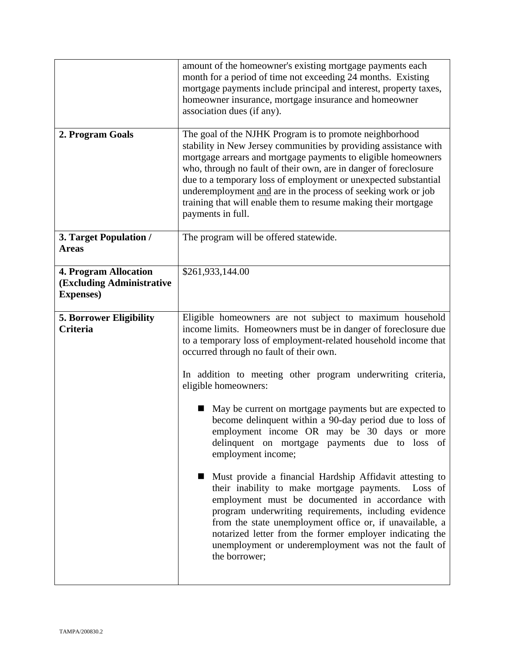|                                                                         | amount of the homeowner's existing mortgage payments each<br>month for a period of time not exceeding 24 months. Existing<br>mortgage payments include principal and interest, property taxes,<br>homeowner insurance, mortgage insurance and homeowner<br>association dues (if any).                                                                                                                                                                                                       |
|-------------------------------------------------------------------------|---------------------------------------------------------------------------------------------------------------------------------------------------------------------------------------------------------------------------------------------------------------------------------------------------------------------------------------------------------------------------------------------------------------------------------------------------------------------------------------------|
| 2. Program Goals                                                        | The goal of the NJHK Program is to promote neighborhood<br>stability in New Jersey communities by providing assistance with<br>mortgage arrears and mortgage payments to eligible homeowners<br>who, through no fault of their own, are in danger of foreclosure<br>due to a temporary loss of employment or unexpected substantial<br>underemployment and are in the process of seeking work or job<br>training that will enable them to resume making their mortgage<br>payments in full. |
| 3. Target Population /<br><b>Areas</b>                                  | The program will be offered statewide.                                                                                                                                                                                                                                                                                                                                                                                                                                                      |
| 4. Program Allocation<br>(Excluding Administrative<br><b>Expenses</b> ) | \$261,933,144.00                                                                                                                                                                                                                                                                                                                                                                                                                                                                            |
| <b>5. Borrower Eligibility</b><br><b>Criteria</b>                       | Eligible homeowners are not subject to maximum household<br>income limits. Homeowners must be in danger of foreclosure due<br>to a temporary loss of employment-related household income that<br>occurred through no fault of their own.                                                                                                                                                                                                                                                    |
|                                                                         | In addition to meeting other program underwriting criteria,<br>eligible homeowners:                                                                                                                                                                                                                                                                                                                                                                                                         |
|                                                                         | May be current on mortgage payments but are expected to<br>become delinquent within a 90-day period due to loss of<br>employment income OR may be 30 days or more<br>delinquent on mortgage payments due to loss of<br>employment income;                                                                                                                                                                                                                                                   |
|                                                                         | Must provide a financial Hardship Affidavit attesting to<br>their inability to make mortgage payments.<br>Loss of<br>employment must be documented in accordance with<br>program underwriting requirements, including evidence<br>from the state unemployment office or, if unavailable, a<br>notarized letter from the former employer indicating the<br>unemployment or underemployment was not the fault of<br>the borrower;                                                             |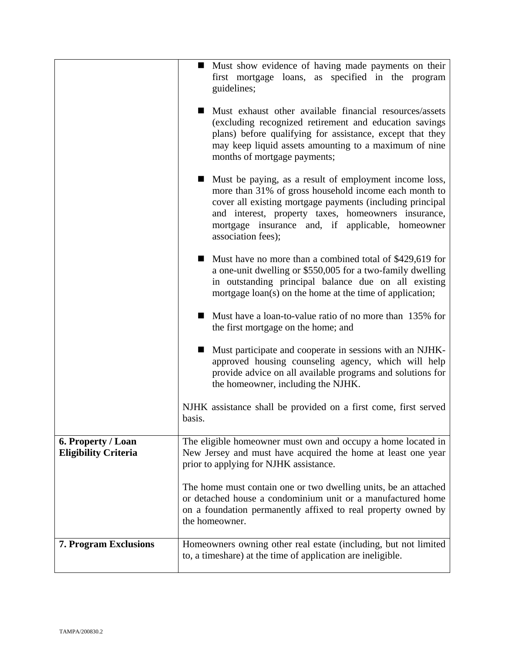|                                                   | • Must show evidence of having made payments on their<br>first mortgage loans, as specified in the program<br>guidelines;                                                                                                                                                                                       |
|---------------------------------------------------|-----------------------------------------------------------------------------------------------------------------------------------------------------------------------------------------------------------------------------------------------------------------------------------------------------------------|
|                                                   | Must exhaust other available financial resources/assets<br>. .<br>(excluding recognized retirement and education savings)<br>plans) before qualifying for assistance, except that they<br>may keep liquid assets amounting to a maximum of nine<br>months of mortgage payments;                                 |
|                                                   | ■ Must be paying, as a result of employment income loss,<br>more than 31% of gross household income each month to<br>cover all existing mortgage payments (including principal<br>and interest, property taxes, homeowners insurance,<br>mortgage insurance and, if applicable, homeowner<br>association fees); |
|                                                   | ■ Must have no more than a combined total of \$429,619 for<br>a one-unit dwelling or \$550,005 for a two-family dwelling<br>in outstanding principal balance due on all existing<br>mortgage loan(s) on the home at the time of application;                                                                    |
|                                                   | ■ Must have a loan-to-value ratio of no more than 135% for<br>the first mortgage on the home; and                                                                                                                                                                                                               |
|                                                   | Must participate and cooperate in sessions with an NJHK-<br>approved housing counseling agency, which will help<br>provide advice on all available programs and solutions for<br>the homeowner, including the NJHK.                                                                                             |
|                                                   | NJHK assistance shall be provided on a first come, first served<br>basis.                                                                                                                                                                                                                                       |
| 6. Property / Loan<br><b>Eligibility Criteria</b> | The eligible homeowner must own and occupy a home located in<br>New Jersey and must have acquired the home at least one year<br>prior to applying for NJHK assistance.                                                                                                                                          |
|                                                   | The home must contain one or two dwelling units, be an attached<br>or detached house a condominium unit or a manufactured home<br>on a foundation permanently affixed to real property owned by<br>the homeowner.                                                                                               |
| <b>7. Program Exclusions</b>                      | Homeowners owning other real estate (including, but not limited<br>to, a timeshare) at the time of application are ineligible.                                                                                                                                                                                  |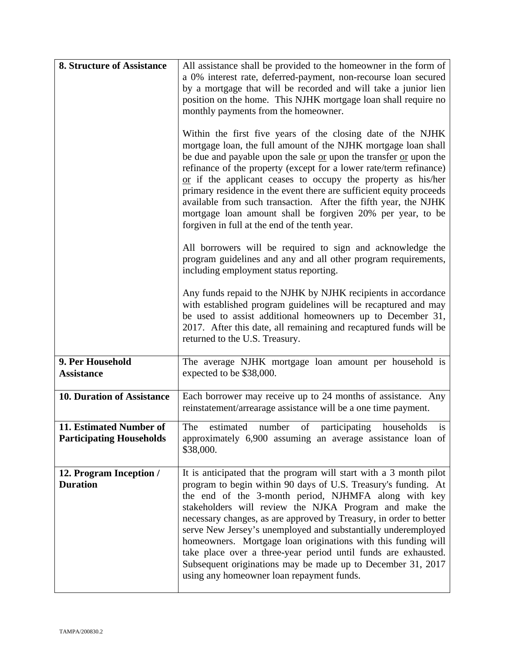| <b>8. Structure of Assistance</b>                          | All assistance shall be provided to the homeowner in the form of                                                                                                                                                                                                                                                                                                                                                                                                                                                                                                                                                                             |
|------------------------------------------------------------|----------------------------------------------------------------------------------------------------------------------------------------------------------------------------------------------------------------------------------------------------------------------------------------------------------------------------------------------------------------------------------------------------------------------------------------------------------------------------------------------------------------------------------------------------------------------------------------------------------------------------------------------|
|                                                            | a 0% interest rate, deferred-payment, non-recourse loan secured                                                                                                                                                                                                                                                                                                                                                                                                                                                                                                                                                                              |
|                                                            | by a mortgage that will be recorded and will take a junior lien<br>position on the home. This NJHK mortgage loan shall require no                                                                                                                                                                                                                                                                                                                                                                                                                                                                                                            |
|                                                            | monthly payments from the homeowner.                                                                                                                                                                                                                                                                                                                                                                                                                                                                                                                                                                                                         |
|                                                            |                                                                                                                                                                                                                                                                                                                                                                                                                                                                                                                                                                                                                                              |
|                                                            | Within the first five years of the closing date of the NJHK<br>mortgage loan, the full amount of the NJHK mortgage loan shall<br>be due and payable upon the sale or upon the transfer or upon the<br>refinance of the property (except for a lower rate/term refinance)<br>$or$ if the applicant ceases to occupy the property as his/her<br>primary residence in the event there are sufficient equity proceeds<br>available from such transaction. After the fifth year, the NJHK<br>mortgage loan amount shall be forgiven 20% per year, to be<br>forgiven in full at the end of the tenth year.                                         |
|                                                            | All borrowers will be required to sign and acknowledge the<br>program guidelines and any and all other program requirements,<br>including employment status reporting.                                                                                                                                                                                                                                                                                                                                                                                                                                                                       |
|                                                            | Any funds repaid to the NJHK by NJHK recipients in accordance<br>with established program guidelines will be recaptured and may<br>be used to assist additional homeowners up to December 31,<br>2017. After this date, all remaining and recaptured funds will be<br>returned to the U.S. Treasury.                                                                                                                                                                                                                                                                                                                                         |
| 9. Per Household<br><b>Assistance</b>                      | The average NJHK mortgage loan amount per household is<br>expected to be \$38,000.                                                                                                                                                                                                                                                                                                                                                                                                                                                                                                                                                           |
| <b>10. Duration of Assistance</b>                          | Each borrower may receive up to 24 months of assistance. Any<br>reinstatement/arrearage assistance will be a one time payment.                                                                                                                                                                                                                                                                                                                                                                                                                                                                                                               |
| 11. Estimated Number of<br><b>Participating Households</b> | estimated number of participating households is<br>The<br>approximately 6,900 assuming an average assistance loan of<br>\$38,000.                                                                                                                                                                                                                                                                                                                                                                                                                                                                                                            |
| 12. Program Inception /<br><b>Duration</b>                 | It is anticipated that the program will start with a 3 month pilot<br>program to begin within 90 days of U.S. Treasury's funding. At<br>the end of the 3-month period, NJHMFA along with key<br>stakeholders will review the NJKA Program and make the<br>necessary changes, as are approved by Treasury, in order to better<br>serve New Jersey's unemployed and substantially underemployed<br>homeowners. Mortgage loan originations with this funding will<br>take place over a three-year period until funds are exhausted.<br>Subsequent originations may be made up to December 31, 2017<br>using any homeowner loan repayment funds. |